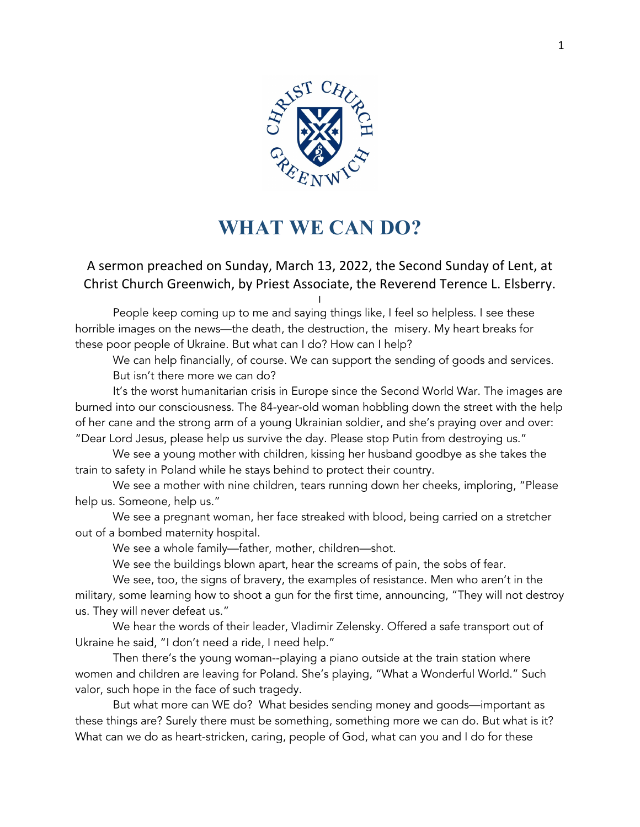

## **WHAT WE CAN DO?**

## A sermon preached on Sunday, March 13, 2022, the Second Sunday of Lent, at Christ Church Greenwich, by Priest Associate, the Reverend Terence L. Elsberry.

I

People keep coming up to me and saying things like, I feel so helpless. I see these horrible images on the news—the death, the destruction, the misery. My heart breaks for these poor people of Ukraine. But what can I do? How can I help?

We can help financially, of course. We can support the sending of goods and services. But isn't there more we can do?

It's the worst humanitarian crisis in Europe since the Second World War. The images are burned into our consciousness. The 84-year-old woman hobbling down the street with the help of her cane and the strong arm of a young Ukrainian soldier, and she's praying over and over: "Dear Lord Jesus, please help us survive the day. Please stop Putin from destroying us."

We see a young mother with children, kissing her husband goodbye as she takes the train to safety in Poland while he stays behind to protect their country.

We see a mother with nine children, tears running down her cheeks, imploring, "Please help us. Someone, help us."

We see a pregnant woman, her face streaked with blood, being carried on a stretcher out of a bombed maternity hospital.

We see a whole family—father, mother, children—shot.

We see the buildings blown apart, hear the screams of pain, the sobs of fear.

We see, too, the signs of bravery, the examples of resistance. Men who aren't in the military, some learning how to shoot a gun for the first time, announcing, "They will not destroy us. They will never defeat us."

We hear the words of their leader, Vladimir Zelensky. Offered a safe transport out of Ukraine he said, "I don't need a ride, I need help."

Then there's the young woman--playing a piano outside at the train station where women and children are leaving for Poland. She's playing, "What a Wonderful World." Such valor, such hope in the face of such tragedy.

But what more can WE do? What besides sending money and goods—important as these things are? Surely there must be something, something more we can do. But what is it? What can we do as heart-stricken, caring, people of God, what can you and I do for these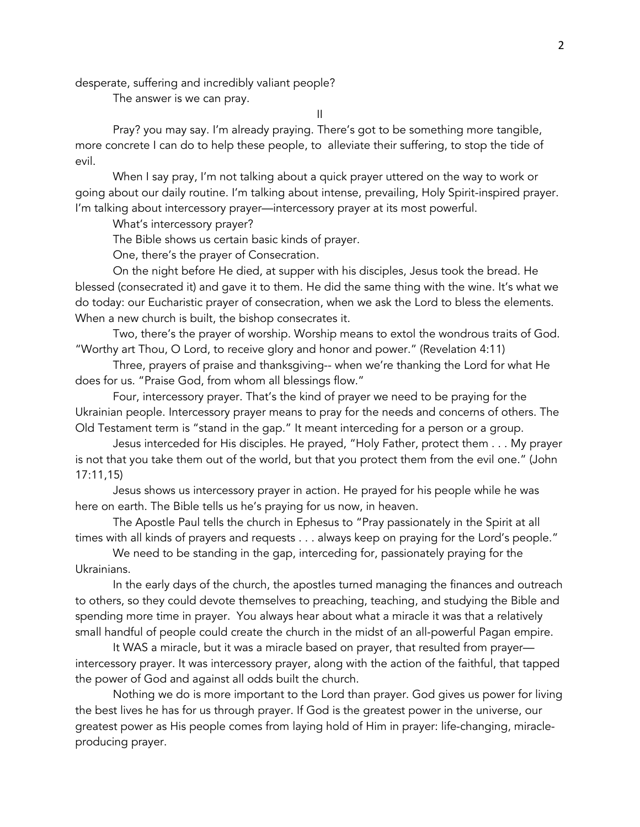desperate, suffering and incredibly valiant people?

The answer is we can pray.

II

Pray? you may say. I'm already praying. There's got to be something more tangible, more concrete I can do to help these people, to alleviate their suffering, to stop the tide of evil.

When I say pray, I'm not talking about a quick prayer uttered on the way to work or going about our daily routine. I'm talking about intense, prevailing, Holy Spirit-inspired prayer. I'm talking about intercessory prayer—intercessory prayer at its most powerful.

What's intercessory prayer?

The Bible shows us certain basic kinds of prayer.

One, there's the prayer of Consecration.

On the night before He died, at supper with his disciples, Jesus took the bread. He blessed (consecrated it) and gave it to them. He did the same thing with the wine. It's what we do today: our Eucharistic prayer of consecration, when we ask the Lord to bless the elements. When a new church is built, the bishop consecrates it.

Two, there's the prayer of worship. Worship means to extol the wondrous traits of God. "Worthy art Thou, O Lord, to receive glory and honor and power." (Revelation 4:11)

Three, prayers of praise and thanksgiving-- when we're thanking the Lord for what He does for us. "Praise God, from whom all blessings flow."

Four, intercessory prayer. That's the kind of prayer we need to be praying for the Ukrainian people. Intercessory prayer means to pray for the needs and concerns of others. The Old Testament term is "stand in the gap." It meant interceding for a person or a group.

Jesus interceded for His disciples. He prayed, "Holy Father, protect them . . . My prayer is not that you take them out of the world, but that you protect them from the evil one." (John 17:11,15)

Jesus shows us intercessory prayer in action. He prayed for his people while he was here on earth. The Bible tells us he's praying for us now, in heaven.

The Apostle Paul tells the church in Ephesus to "Pray passionately in the Spirit at all times with all kinds of prayers and requests . . . always keep on praying for the Lord's people."

We need to be standing in the gap, interceding for, passionately praying for the Ukrainians.

In the early days of the church, the apostles turned managing the finances and outreach to others, so they could devote themselves to preaching, teaching, and studying the Bible and spending more time in prayer. You always hear about what a miracle it was that a relatively small handful of people could create the church in the midst of an all-powerful Pagan empire.

It WAS a miracle, but it was a miracle based on prayer, that resulted from prayer intercessory prayer. It was intercessory prayer, along with the action of the faithful, that tapped the power of God and against all odds built the church.

Nothing we do is more important to the Lord than prayer. God gives us power for living the best lives he has for us through prayer. If God is the greatest power in the universe, our greatest power as His people comes from laying hold of Him in prayer: life-changing, miracleproducing prayer.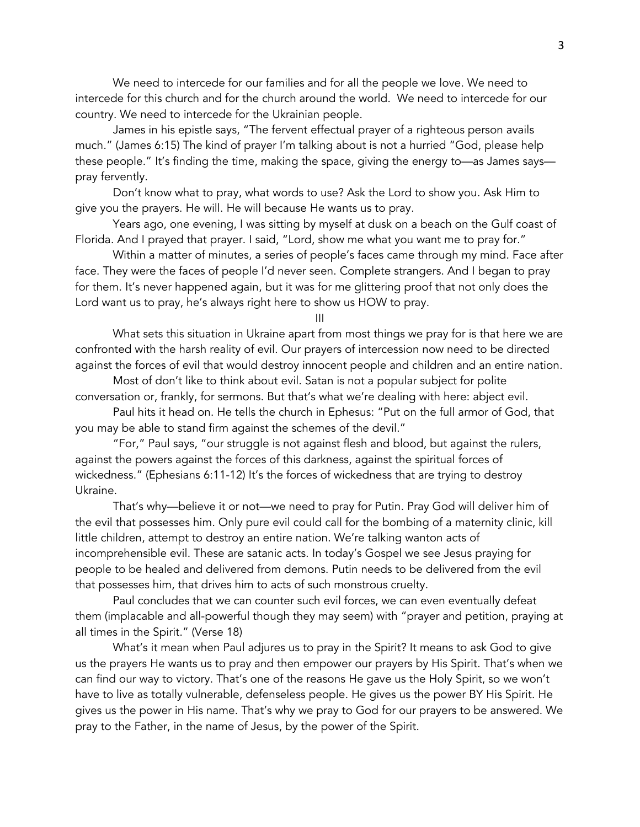We need to intercede for our families and for all the people we love. We need to intercede for this church and for the church around the world. We need to intercede for our country. We need to intercede for the Ukrainian people.

James in his epistle says, "The fervent effectual prayer of a righteous person avails much." (James 6:15) The kind of prayer I'm talking about is not a hurried "God, please help these people." It's finding the time, making the space, giving the energy to—as James says pray fervently.

Don't know what to pray, what words to use? Ask the Lord to show you. Ask Him to give you the prayers. He will. He will because He wants us to pray.

Years ago, one evening, I was sitting by myself at dusk on a beach on the Gulf coast of Florida. And I prayed that prayer. I said, "Lord, show me what you want me to pray for."

Within a matter of minutes, a series of people's faces came through my mind. Face after face. They were the faces of people I'd never seen. Complete strangers. And I began to pray for them. It's never happened again, but it was for me glittering proof that not only does the Lord want us to pray, he's always right here to show us HOW to pray.

III

What sets this situation in Ukraine apart from most things we pray for is that here we are confronted with the harsh reality of evil. Our prayers of intercession now need to be directed against the forces of evil that would destroy innocent people and children and an entire nation.

Most of don't like to think about evil. Satan is not a popular subject for polite conversation or, frankly, for sermons. But that's what we're dealing with here: abject evil.

Paul hits it head on. He tells the church in Ephesus: "Put on the full armor of God, that you may be able to stand firm against the schemes of the devil."

"For," Paul says, "our struggle is not against flesh and blood, but against the rulers, against the powers against the forces of this darkness, against the spiritual forces of wickedness." (Ephesians 6:11-12) It's the forces of wickedness that are trying to destroy Ukraine.

That's why—believe it or not—we need to pray for Putin. Pray God will deliver him of the evil that possesses him. Only pure evil could call for the bombing of a maternity clinic, kill little children, attempt to destroy an entire nation. We're talking wanton acts of incomprehensible evil. These are satanic acts. In today's Gospel we see Jesus praying for people to be healed and delivered from demons. Putin needs to be delivered from the evil that possesses him, that drives him to acts of such monstrous cruelty.

Paul concludes that we can counter such evil forces, we can even eventually defeat them (implacable and all-powerful though they may seem) with "prayer and petition, praying at all times in the Spirit." (Verse 18)

What's it mean when Paul adjures us to pray in the Spirit? It means to ask God to give us the prayers He wants us to pray and then empower our prayers by His Spirit. That's when we can find our way to victory. That's one of the reasons He gave us the Holy Spirit, so we won't have to live as totally vulnerable, defenseless people. He gives us the power BY His Spirit. He gives us the power in His name. That's why we pray to God for our prayers to be answered. We pray to the Father, in the name of Jesus, by the power of the Spirit.